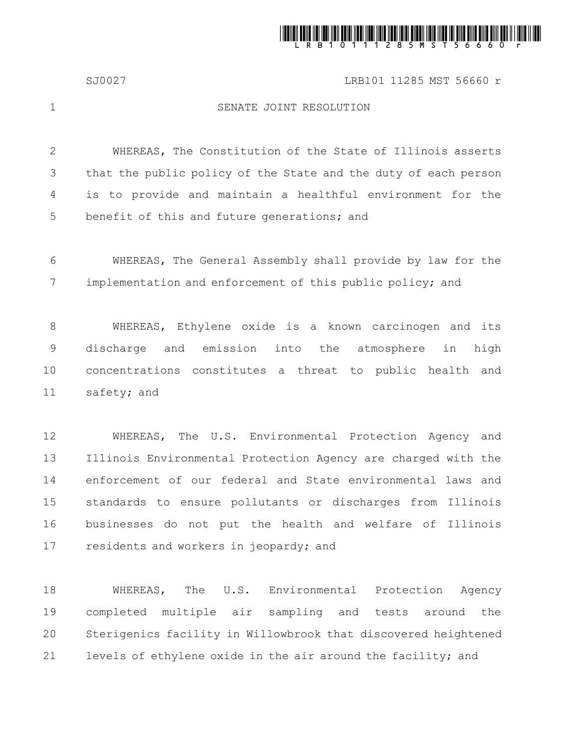

## SJ0027 LRB101 11285 MST 56660 r

1

## SENATE JOINT RESOLUTION

WHEREAS, The Constitution of the State of Illinois asserts that the public policy of the State and the duty of each person is to provide and maintain a healthful environment for the benefit of this and future generations; and 2 3 4 5

WHEREAS, The General Assembly shall provide by law for the implementation and enforcement of this public policy; and 6 7

WHEREAS, Ethylene oxide is a known carcinogen and its discharge and emission into the atmosphere in high concentrations constitutes a threat to public health and safety; and 8 9 10 11

WHEREAS, The U.S. Environmental Protection Agency and Illinois Environmental Protection Agency are charged with the enforcement of our federal and State environmental laws and standards to ensure pollutants or discharges from Illinois businesses do not put the health and welfare of Illinois residents and workers in jeopardy; and 12 13 14 15 16 17

WHEREAS, The U.S. Environmental Protection Agency completed multiple air sampling and tests around the Sterigenics facility in Willowbrook that discovered heightened levels of ethylene oxide in the air around the facility; and 18 19 20 21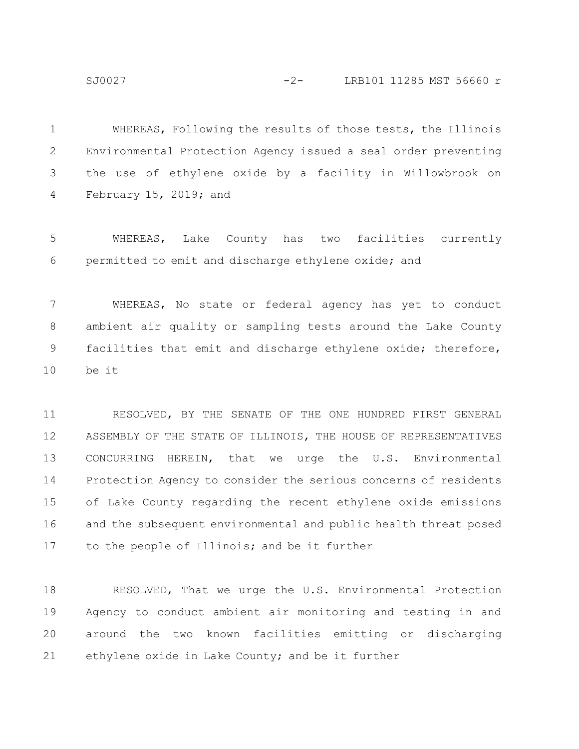SJ0027 -2- LRB101 11285 MST 56660 r

WHEREAS, Following the results of those tests, the Illinois Environmental Protection Agency issued a seal order preventing the use of ethylene oxide by a facility in Willowbrook on February 15, 2019; and 1 2 3 4

WHEREAS, Lake County has two facilities currently permitted to emit and discharge ethylene oxide; and 5 6

WHEREAS, No state or federal agency has yet to conduct ambient air quality or sampling tests around the Lake County facilities that emit and discharge ethylene oxide; therefore, be it 7 8 9 10

RESOLVED, BY THE SENATE OF THE ONE HUNDRED FIRST GENERAL ASSEMBLY OF THE STATE OF ILLINOIS, THE HOUSE OF REPRESENTATIVES CONCURRING HEREIN, that we urge the U.S. Environmental Protection Agency to consider the serious concerns of residents of Lake County regarding the recent ethylene oxide emissions and the subsequent environmental and public health threat posed to the people of Illinois; and be it further 11 12 13 14 15 16 17

RESOLVED, That we urge the U.S. Environmental Protection Agency to conduct ambient air monitoring and testing in and around the two known facilities emitting or discharging ethylene oxide in Lake County; and be it further 18 19 20 21